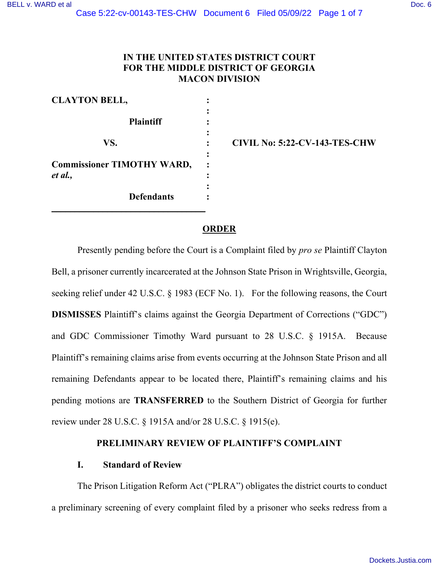# **IN THE UNITED STATES DISTRICT COURT FOR THE MIDDLE DISTRICT OF GEORGIA MACON DIVISION**

| <b>CLAYTON BELL,</b>              |  |
|-----------------------------------|--|
|                                   |  |
| <b>Plaintiff</b>                  |  |
|                                   |  |
| VS.                               |  |
|                                   |  |
| <b>Commissioner TIMOTHY WARD,</b> |  |
| et al.,                           |  |
|                                   |  |
| <b>Defendants</b>                 |  |
|                                   |  |

**VS. : CIVIL No: 5:22-CV-143-TES-CHW** 

## **ORDER**

Presently pending before the Court is a Complaint filed by *pro se* Plaintiff Clayton Bell, a prisoner currently incarcerated at the Johnson State Prison in Wrightsville, Georgia, seeking relief under 42 U.S.C. § 1983 (ECF No. 1). For the following reasons, the Court **DISMISSES** Plaintiff's claims against the Georgia Department of Corrections ("GDC") and GDC Commissioner Timothy Ward pursuant to 28 U.S.C. § 1915A. Because Plaintiff's remaining claims arise from events occurring at the Johnson State Prison and all remaining Defendants appear to be located there, Plaintiff's remaining claims and his pending motions are **TRANSFERRED** to the Southern District of Georgia for further review under 28 U.S.C. § 1915A and/or 28 U.S.C. § 1915(e).

### **PRELIMINARY REVIEW OF PLAINTIFF'S COMPLAINT**

### **I. Standard of Review**

The Prison Litigation Reform Act ("PLRA") obligates the district courts to conduct a preliminary screening of every complaint filed by a prisoner who seeks redress from a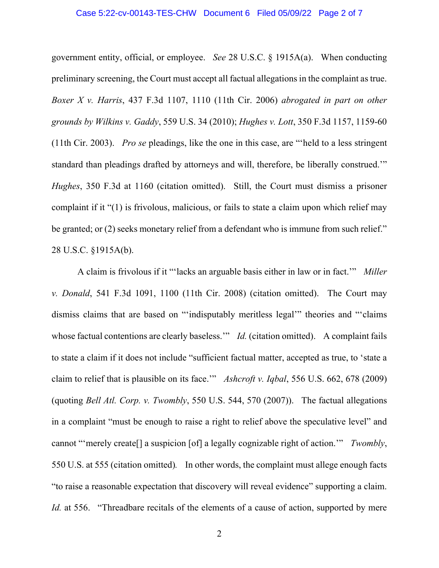### Case 5:22-cv-00143-TES-CHW Document 6 Filed 05/09/22 Page 2 of 7

government entity, official, or employee. *See* 28 U.S.C. § 1915A(a). When conducting preliminary screening, the Court must accept all factual allegations in the complaint as true. *Boxer X v. Harris*, 437 F.3d 1107, 1110 (11th Cir. 2006) *abrogated in part on other grounds by Wilkins v. Gaddy*, 559 U.S. 34 (2010); *Hughes v. Lott*, 350 F.3d 1157, 1159-60 (11th Cir. 2003). *Pro se* pleadings, like the one in this case, are "'held to a less stringent standard than pleadings drafted by attorneys and will, therefore, be liberally construed.'" *Hughes*, 350 F.3d at 1160 (citation omitted). Still, the Court must dismiss a prisoner complaint if it "(1) is frivolous, malicious, or fails to state a claim upon which relief may be granted; or (2) seeks monetary relief from a defendant who is immune from such relief." 28 U.S.C. §1915A(b).

A claim is frivolous if it "'lacks an arguable basis either in law or in fact.'" *Miller v. Donald*, 541 F.3d 1091, 1100 (11th Cir. 2008) (citation omitted). The Court may dismiss claims that are based on "'indisputably meritless legal'" theories and "'claims whose factual contentions are clearly baseless." *Id.* (citation omitted). A complaint fails to state a claim if it does not include "sufficient factual matter, accepted as true, to 'state a claim to relief that is plausible on its face.'" *Ashcroft v. Iqbal*, 556 U.S. 662, 678 (2009) (quoting *Bell Atl. Corp. v. Twombly*, 550 U.S. 544, 570 (2007)). The factual allegations in a complaint "must be enough to raise a right to relief above the speculative level" and cannot "'merely create[] a suspicion [of] a legally cognizable right of action.'" *Twombly*, 550 U.S. at 555 (citation omitted)*.* In other words, the complaint must allege enough facts "to raise a reasonable expectation that discovery will reveal evidence" supporting a claim. *Id.* at 556. "Threadbare recitals of the elements of a cause of action, supported by mere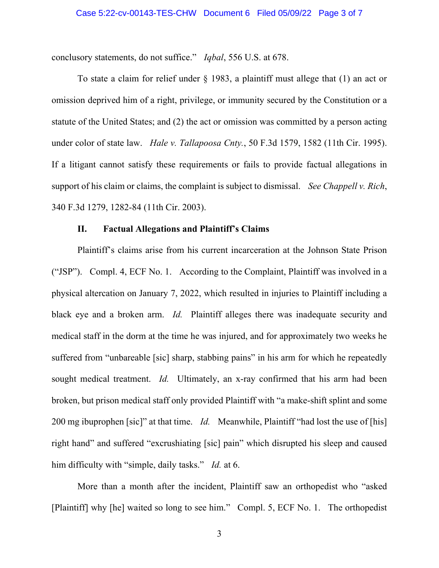conclusory statements, do not suffice." *Iqbal*, 556 U.S. at 678.

To state a claim for relief under § 1983, a plaintiff must allege that (1) an act or omission deprived him of a right, privilege, or immunity secured by the Constitution or a statute of the United States; and (2) the act or omission was committed by a person acting under color of state law. *Hale v. Tallapoosa Cnty.*, 50 F.3d 1579, 1582 (11th Cir. 1995). If a litigant cannot satisfy these requirements or fails to provide factual allegations in support of his claim or claims, the complaint is subject to dismissal. *See Chappell v. Rich*, 340 F.3d 1279, 1282-84 (11th Cir. 2003).

### **II. Factual Allegations and Plaintiff's Claims**

Plaintiff's claims arise from his current incarceration at the Johnson State Prison ("JSP"). Compl. 4, ECF No. 1. According to the Complaint, Plaintiff was involved in a physical altercation on January 7, 2022, which resulted in injuries to Plaintiff including a black eye and a broken arm. *Id.* Plaintiff alleges there was inadequate security and medical staff in the dorm at the time he was injured, and for approximately two weeks he suffered from "unbareable [sic] sharp, stabbing pains" in his arm for which he repeatedly sought medical treatment. *Id.* Ultimately, an x-ray confirmed that his arm had been broken, but prison medical staff only provided Plaintiff with "a make-shift splint and some 200 mg ibuprophen [sic]" at that time. *Id.* Meanwhile, Plaintiff "had lost the use of [his] right hand" and suffered "excrushiating [sic] pain" which disrupted his sleep and caused him difficulty with "simple, daily tasks." *Id.* at 6.

More than a month after the incident, Plaintiff saw an orthopedist who "asked [Plaintiff] why [he] waited so long to see him." Compl. 5, ECF No. 1. The orthopedist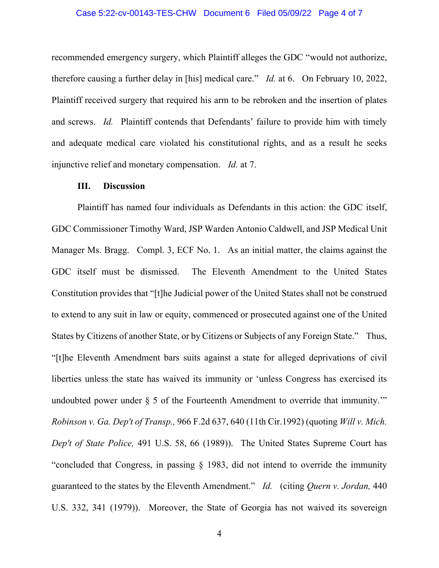### Case 5:22-cv-00143-TES-CHW Document 6 Filed 05/09/22 Page 4 of 7

recommended emergency surgery, which Plaintiff alleges the GDC "would not authorize, therefore causing a further delay in [his] medical care." *Id.* at 6. On February 10, 2022, Plaintiff received surgery that required his arm to be rebroken and the insertion of plates and screws. *Id.* Plaintiff contends that Defendants' failure to provide him with timely and adequate medical care violated his constitutional rights, and as a result he seeks injunctive relief and monetary compensation. *Id.* at 7.

#### **III. Discussion**

Plaintiff has named four individuals as Defendants in this action: the GDC itself, GDC Commissioner Timothy Ward, JSP Warden Antonio Caldwell, and JSP Medical Unit Manager Ms. Bragg. Compl. 3, ECF No. 1. As an initial matter, the claims against the GDC itself must be dismissed. The Eleventh Amendment to the United States Constitution provides that "[t]he Judicial power of the United States shall not be construed to extend to any suit in law or equity, commenced or prosecuted against one of the United States by Citizens of another State, or by Citizens or Subjects of any Foreign State." Thus, "[t]he Eleventh Amendment bars suits against a state for alleged deprivations of civil liberties unless the state has waived its immunity or 'unless Congress has exercised its undoubted power under  $\S$  5 of the Fourteenth Amendment to override that immunity." *Robinson v. Ga. Dep't of Transp.,* [966 F.2d 637, 640 \(11th Cir.1992\)](https://a.next.westlaw.com/Link/Document/FullText?findType=Y&serNum=1992119694&pubNum=350&originatingDoc=Id9a09d132c2811dfae65b23e804c3c12&refType=RP&fi=co_pp_sp_350_640&originationContext=document&transitionType=DocumentItem&contextData=(sc.Search)#co_pp_sp_350_640) (quoting *[Will v. Mich.](https://a.next.westlaw.com/Link/Document/FullText?findType=Y&serNum=1989089479&pubNum=708&originatingDoc=Id9a09d132c2811dfae65b23e804c3c12&refType=RP&originationContext=document&transitionType=DocumentItem&contextData=(sc.Search))  Dep't of State Police,* [491 U.S. 58, 66 \(1989\)\)](https://a.next.westlaw.com/Link/Document/FullText?findType=Y&serNum=1989089479&pubNum=708&originatingDoc=Id9a09d132c2811dfae65b23e804c3c12&refType=RP&originationContext=document&transitionType=DocumentItem&contextData=(sc.Search)). The United States Supreme Court has "concluded that Congress, in passing [§ 1983,](https://a.next.westlaw.com/Link/Document/FullText?findType=L&pubNum=1000546&cite=42USCAS1983&originatingDoc=Id9a09d132c2811dfae65b23e804c3c12&refType=LQ&originationContext=document&transitionType=DocumentItem&contextData=(sc.Search)) did not intend to override the immunity guaranteed to the states by the Eleventh Amendment." *Id.* (citing *[Quern v. Jordan,](https://a.next.westlaw.com/Link/Document/FullText?findType=Y&serNum=1979108041&pubNum=708&originatingDoc=Id9a09d132c2811dfae65b23e804c3c12&refType=RP&originationContext=document&transitionType=DocumentItem&contextData=(sc.Search))* 440 [U.S. 332, 341 \(1979\)\)](https://a.next.westlaw.com/Link/Document/FullText?findType=Y&serNum=1979108041&pubNum=708&originatingDoc=Id9a09d132c2811dfae65b23e804c3c12&refType=RP&originationContext=document&transitionType=DocumentItem&contextData=(sc.Search)). Moreover, the State of Georgia has not waived its sovereign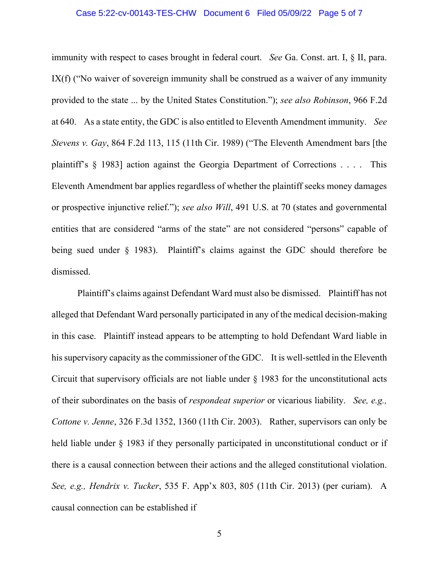### Case 5:22-cv-00143-TES-CHW Document 6 Filed 05/09/22 Page 5 of 7

immunity with respect to cases brought in federal court. *See* [Ga. Const. art. I, § II, para.](https://a.next.westlaw.com/Link/Document/FullText?findType=L&pubNum=1000468&cite=GACNART1S2PIX&originatingDoc=Id9a09d132c2811dfae65b23e804c3c12&refType=LQ&originationContext=document&transitionType=DocumentItem&contextData=(sc.Search))  [IX\(f\)](https://a.next.westlaw.com/Link/Document/FullText?findType=L&pubNum=1000468&cite=GACNART1S2PIX&originatingDoc=Id9a09d132c2811dfae65b23e804c3c12&refType=LQ&originationContext=document&transitionType=DocumentItem&contextData=(sc.Search)) ("No waiver of sovereign immunity shall be construed as a waiver of any immunity provided to the state ... by the United States Constitution."); *see also Robinson*, 966 F.2d at 640. As a state entity, the GDC is also entitled to Eleventh Amendment immunity. *See Stevens v. Gay*, 864 F.2d 113, 115 (11th Cir. 1989) ("The Eleventh Amendment bars [the plaintiff's § 1983] action against the Georgia Department of Corrections . . . . This Eleventh Amendment bar applies regardless of whether the plaintiff seeks money damages or prospective injunctive relief."); *see also Will*, 491 U.S. at 70 (states and governmental entities that are considered "arms of the state" are not considered "persons" capable of being sued under § 1983). Plaintiff's claims against the GDC should therefore be dismissed.

Plaintiff's claims against Defendant Ward must also be dismissed. Plaintiff has not alleged that Defendant Ward personally participated in any of the medical decision-making in this case. Plaintiff instead appears to be attempting to hold Defendant Ward liable in his supervisory capacity as the commissioner of the GDC. It is well-settled in the Eleventh Circuit that supervisory officials are not liable under  $\S$  1983 for the unconstitutional acts of their subordinates on the basis of *respondeat superior* or vicarious liability. *See, e.g., Cottone v. Jenne*, 326 F.3d 1352, 1360 (11th Cir. 2003). Rather, supervisors can only be held liable under  $\S$  1983 if they personally participated in unconstitutional conduct or if there is a causal connection between their actions and the alleged constitutional violation. *See, e.g., Hendrix v. Tucker*, 535 F. App'x 803, 805 (11th Cir. 2013) (per curiam). A causal connection can be established if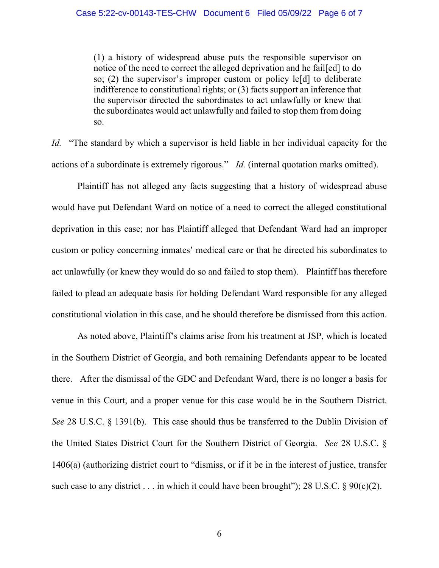(1) a history of widespread abuse puts the responsible supervisor on notice of the need to correct the alleged deprivation and he fail[ed] to do so; (2) the supervisor's improper custom or policy le[d] to deliberate indifference to constitutional rights; or (3) facts support an inference that the supervisor directed the subordinates to act unlawfully or knew that the subordinates would act unlawfully and failed to stop them from doing so.

*Id.* "The standard by which a supervisor is held liable in her individual capacity for the actions of a subordinate is extremely rigorous." *Id.* (internal quotation marks omitted).

Plaintiff has not alleged any facts suggesting that a history of widespread abuse would have put Defendant Ward on notice of a need to correct the alleged constitutional deprivation in this case; nor has Plaintiff alleged that Defendant Ward had an improper custom or policy concerning inmates' medical care or that he directed his subordinates to act unlawfully (or knew they would do so and failed to stop them). Plaintiff has therefore failed to plead an adequate basis for holding Defendant Ward responsible for any alleged constitutional violation in this case, and he should therefore be dismissed from this action.

As noted above, Plaintiff's claims arise from his treatment at JSP, which is located in the Southern District of Georgia, and both remaining Defendants appear to be located there. After the dismissal of the GDC and Defendant Ward, there is no longer a basis for venue in this Court, and a proper venue for this case would be in the Southern District. *See* 28 U.S.C. § 1391(b). This case should thus be transferred to the Dublin Division of the United States District Court for the Southern District of Georgia. *See* 28 U.S.C. § 1406(a) (authorizing district court to "dismiss, or if it be in the interest of justice, transfer such case to any district . . . in which it could have been brought"); 28 U.S.C.  $\S 90(c)(2)$ .